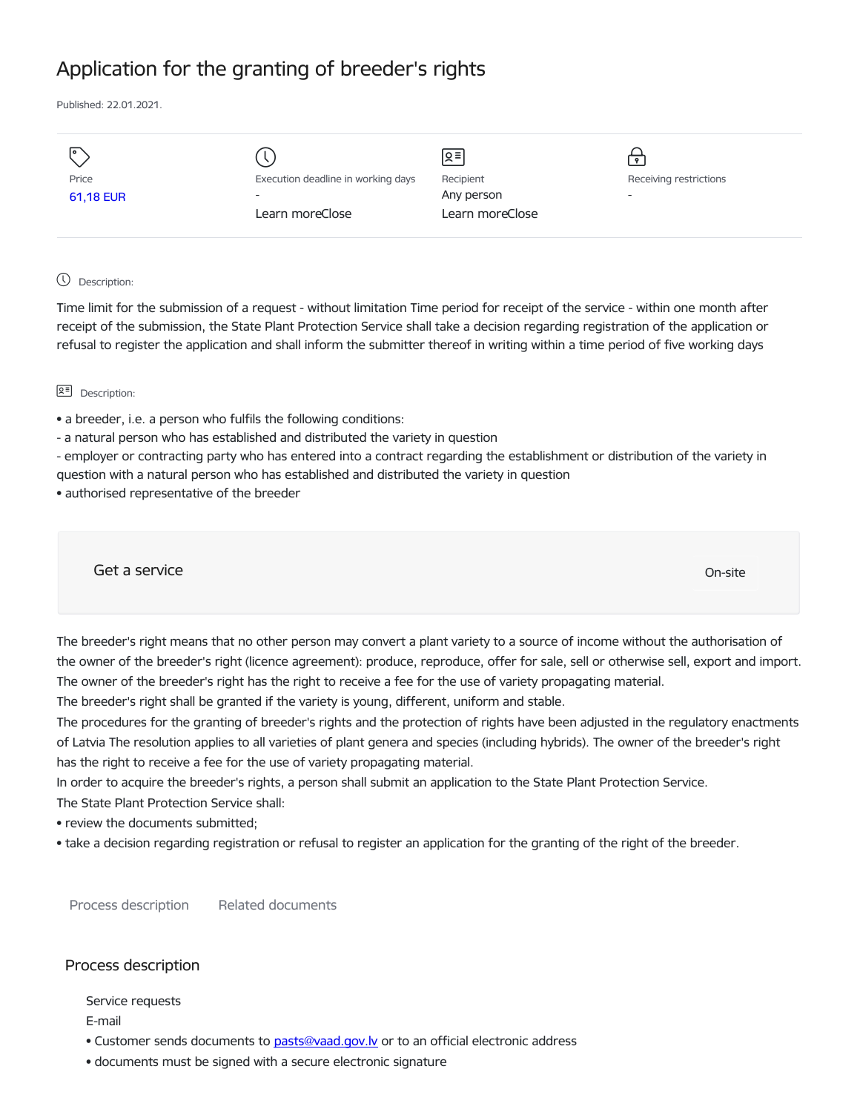# Application for the granting of breeder's rights

Published: 22.01.2021.

| I۰        |                                    | $\leq$          | $\bullet$                |
|-----------|------------------------------------|-----------------|--------------------------|
| Price     | Execution deadline in working days | Recipient       | Receiving restrictions   |
| 61,18 EUR | $\overline{\phantom{0}}$           | Any person      | $\overline{\phantom{a}}$ |
|           | Learn moreClose                    | Learn moreClose |                          |
|           |                                    |                 |                          |

## Description:

Time limit for the submission of a request - without limitation Time period for receipt of the service - within one month after receipt of the submission, the State Plant Protection Service shall take a decision regarding registration of the application or refusal to register the application and shall inform the submitter thereof in writing within a time period of five working days

## **오** Description:

- a breeder, i.e. a person who fulfils the following conditions:
- a natural person who has established and distributed the variety in question
- employer or contracting party who has entered into a contract regarding the establishment or distribution of the variety in question with a natural person who has established and distributed the variety in question
- authorised representative of the breeder

Get a service only a structure of the contract of the contract of the contract of the contract of the contract of the contract of the contract of the contract of the contract of the contract of the contract of the contract

The breeder's right means that no other person may convert a plant variety to a source of income without the authorisation of the owner of the breeder's right (licence agreement): produce, reproduce, offer for sale, sell or otherwise sell, export and import. The owner of the breeder's right has the right to receive a fee for the use of variety propagating material.

The breeder's right shall be granted if the variety is young, different, uniform and stable.

The procedures for the granting of breeder's rights and the protection of rights have been adjusted in the regulatory enactments of Latvia The resolution applies to all varieties of plant genera and species (including hybrids). The owner of the breeder's right has the right to receive a fee for the use of variety propagating material.

In order to acquire the breeder's rights, a person shall submit an application to the State Plant Protection Service. The State Plant Protection Service shall:

- 
- review the documents submitted;
- take a decision regarding registration or refusal to register an application for the granting of the right of the breeder.

Process description Related documents

## Process description

Service requests

E-mail

- Customer sends documents to [pasts@vaad.gov.lv](mailto:pasts@vaad.gov.lv) or to an official electronic address
- documents must be signed with a secure electronic signature